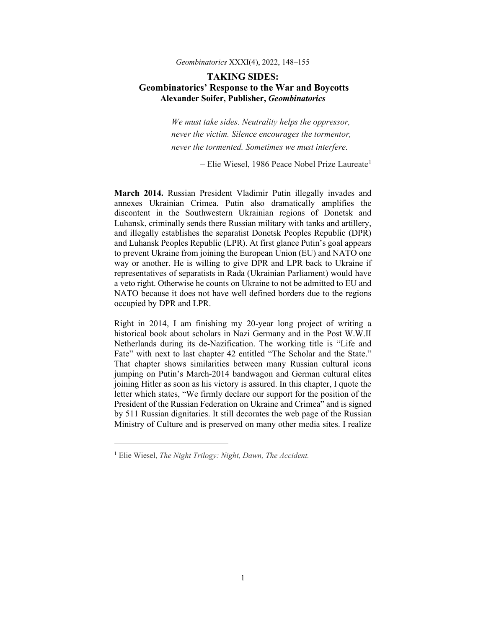## *Geombinatorics* XXXI(4), 2022, 148–155

## **TAKING SIDES: Geombinatorics' Response to the War and Boycotts Alexander Soifer, Publisher,** *Geombinatorics*

*We must take sides. Neutrality helps the oppressor, never the victim. Silence encourages the tormentor, never the tormented. Sometimes we must interfere.* 

 $-$  Elie Wiesel, [1](#page-0-0)986 Peace Nobel Prize Laureate<sup>1</sup>

**March 2014.** Russian President Vladimir Putin illegally invades and annexes Ukrainian Crimea. Putin also dramatically amplifies the discontent in the Southwestern Ukrainian regions of Donetsk and Luhansk, criminally sends there Russian military with tanks and artillery, and illegally establishes the separatist Donetsk Peoples Republic (DPR) and Luhansk Peoples Republic (LPR). At first glance Putin's goal appears to prevent Ukraine from joining the European Union (EU) and NATO one way or another. He is willing to give DPR and LPR back to Ukraine if representatives of separatists in Rada (Ukrainian Parliament) would have a veto right. Otherwise he counts on Ukraine to not be admitted to EU and NATO because it does not have well defined borders due to the regions occupied by DPR and LPR.

Right in 2014, I am finishing my 20-year long project of writing a historical book about scholars in Nazi Germany and in the Post W.W.II Netherlands during its de-Nazification. The working title is "Life and Fate" with next to last chapter 42 entitled "The Scholar and the State." That chapter shows similarities between many Russian cultural icons jumping on Putin's March-2014 bandwagon and German cultural elites joining Hitler as soon as his victory is assured. In this chapter, I quote the letter which states, "We firmly declare our support for the position of the President of the Russian Federation on Ukraine and Crimea" and is signed by 511 Russian dignitaries. It still decorates the web page of the Russian Ministry of Culture and is preserved on many other media sites. I realize

<span id="page-0-0"></span><sup>1</sup> Elie Wiesel, *[The Night Trilogy: Night, Dawn, The Accident.](https://www.goodreads.com/work/quotes/1765237)*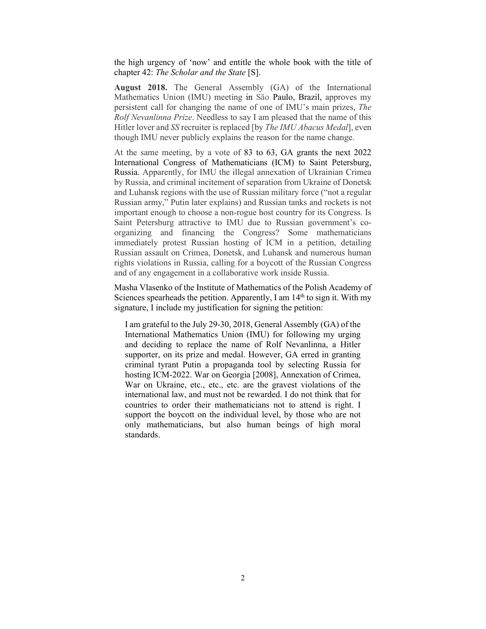the high urgency of 'now' and entitle the whole book with the title of chapter 42: *The Scholar and the State* [S].

**August 2018.** The General Assembly (GA) of the International Mathematics Union (IMU) meeting in São Paulo, Brazil, approves my persistent call for changing the name of one of IMU's main prizes, *The Rolf Nevanlinna Prize*. Needless to say I am pleased that the name of this Hitler lover and *SS* recruiter is replaced [by *The IMU Abacus Medal*], even though IMU never publicly explains the reason for the name change.

At the same meeting, by a vote of 83 to 63, GA grants the next 2022 International Congress of Mathematicians (ICM) to Saint Petersburg, Russia. Apparently, for IMU the illegal annexation of Ukrainian Crimea by Russia, and criminal incitement of separation from Ukraine of Donetsk and Luhansk regions with the use of Russian military force ("not a regular Russian army," Putin later explains) and Russian tanks and rockets is not important enough to choose a non-rogue host country for its Congress. Is Saint Petersburg attractive to IMU due to Russian government's coorganizing and financing the Congress? Some mathematicians immediately protest Russian hosting of ICM in a petition, detailing Russian assault on Crimea, Donetsk, and Luhansk and numerous human rights violations in Russia, calling for a boycott of the Russian Congress and of any engagement in a collaborative work inside Russia.

Masha Vlasenko of the Institute of Mathematics of the Polish Academy of Sciences spearheads the petition. Apparently, I am  $14<sup>th</sup>$  to sign it. With my signature, I include my justification for signing the petition:

I am grateful to the July 29-30, 2018, General Assembly (GA) of the International Mathematics Union (IMU) for following my urging and deciding to replace the name of Rolf Nevanlinna, a Hitler supporter, on its prize and medal. However, GA erred in granting criminal tyrant Putin a propaganda tool by selecting Russia for hosting ICM-2022. War on Georgia [2008], Annexation of Crimea, War on Ukraine, etc., etc., etc. are the gravest violations of the international law, and must not be rewarded. I do not think that for countries to order their mathematicians not to attend is right. I support the boycott on the individual level, by those who are not only mathematicians, but also human beings of high moral standards.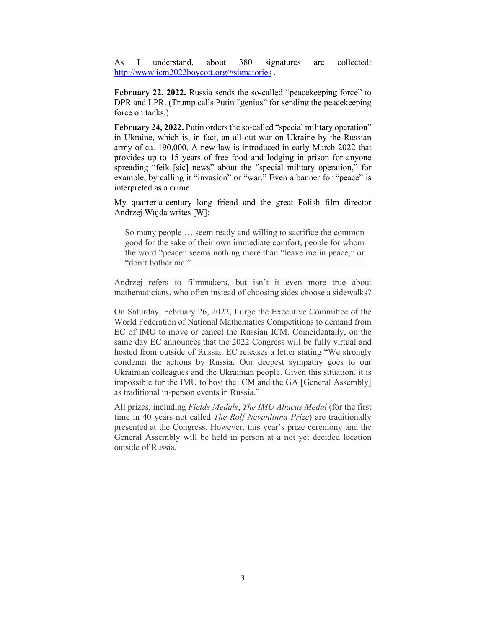As I understand, about 380 signatures are collected: <http://www.icm2022boycott.org/#signatories>.

**February 22, 2022.** Russia sends the so-called "peacekeeping force" to DPR and LPR. (Trump calls Putin "genius" for sending the peacekeeping force on tanks.)

**February 24, 2022.** Putin orders the so-called "special military operation" in Ukraine, which is, in fact, an all-out war on Ukraine by the Russian army of ca. 190,000. A new law is introduced in early March-2022 that provides up to 15 years of free food and lodging in prison for anyone spreading "feik [sic] news" about the "special military operation," for example, by calling it "invasion" or "war." Even a banner for "peace" is interpreted as a crime.

My quarter-a-century long friend and the great Polish film director Andrzej Wajda writes [W]:

So many people … seem ready and willing to sacrifice the common good for the sake of their own immediate comfort, people for whom the word "peace" seems nothing more than "leave me in peace," or "don't bother me."

Andrzej refers to filmmakers, but isn't it even more true about mathematicians, who often instead of choosing sides choose a sidewalks?

On Saturday, February 26, 2022, I urge the Executive Committee of the World Federation of National Mathematics Competitions to demand from EC of IMU to move or cancel the Russian ICM. Coincidentally, on the same day EC announces that the 2022 Congress will be fully virtual and hosted from outside of Russia. EC releases a letter stating "We strongly condemn the actions by Russia. Our deepest sympathy goes to our Ukrainian colleagues and the Ukrainian people. Given this situation, it is impossible for the IMU to host the ICM and the GA [General Assembly] as traditional in-person events in Russia."

All prizes, including *Fields Medals*, *The IMU Abacus Medal* (for the first time in 40 years not called *The Rolf Nevanlinna Prize*) are traditionally presented at the Congress. However, this year's prize ceremony and the General Assembly will be held in person at a not yet decided location outside of Russia.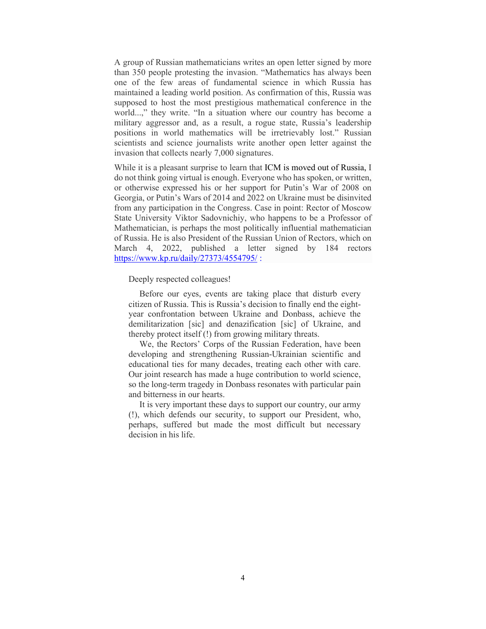A group of Russian mathematicians writes an open letter signed by more than 350 people protesting the invasion. "Mathematics has always been one of the few areas of fundamental science in which Russia has maintained a leading world position. As confirmation of this, Russia was supposed to host the most prestigious mathematical conference in the world...," they write. "In a situation where our country has become a military aggressor and, as a result, a rogue state, Russia's leadership positions in world mathematics will be irretrievably lost." Russian scientists and science journalists write another open letter against the invasion that collects nearly 7,000 signatures.

While it is a pleasant surprise to learn that ICM is moved out of Russia, I do not think going virtual is enough. Everyone who has spoken, or written, or otherwise expressed his or her support for Putin's War of 2008 on Georgia, or Putin's Wars of 2014 and 2022 on Ukraine must be disinvited from any participation in the Congress. Case in point: Rector of Moscow State University Viktor Sadovnichiy, who happens to be a Professor of Mathematician, is perhaps the most politically influential mathematician of Russia. He is also President of the Russian Union of Rectors, which on March 4, 2022, published a letter signed by 184 rectors https://www.kp.ru/daily/27373/4554795/:

Deeply respected colleagues!

 Before our eyes, events are taking place that disturb every citizen of Russia. This is Russia's decision to finally end the eightyear confrontation between Ukraine and Donbass, achieve the demilitarization [sic] and denazification [sic] of Ukraine, and thereby protect itself (!) from growing military threats.

 We, the Rectors' Corps of the Russian Federation, have been developing and strengthening Russian-Ukrainian scientific and educational ties for many decades, treating each other with care. Our joint research has made a huge contribution to world science, so the long-term tragedy in Donbass resonates with particular pain and bitterness in our hearts.

 It is very important these days to support our country, our army (!), which defends our security, to support our President, who, perhaps, suffered but made the most difficult but necessary decision in his life.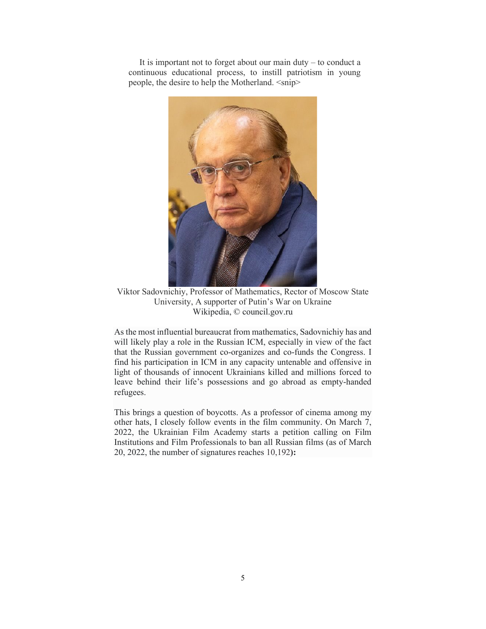It is important not to forget about our main duty – to conduct a continuous educational process, to instill patriotism in young people, the desire to help the Motherland. <snip>



Viktor Sadovnichiy, Professor of Mathematics, Rector of Moscow State University, A supporter of Putin's War on Ukraine Wikipedia, © council.gov.ru

As the most influential bureaucrat from mathematics, Sadovnichiy has and will likely play a role in the Russian ICM, especially in view of the fact that the Russian government co-organizes and co-funds the Congress. I find his participation in ICM in any capacity untenable and offensive in light of thousands of innocent Ukrainians killed and millions forced to leave behind their life's possessions and go abroad as empty-handed refugees.

This brings a question of boycotts. As a professor of cinema among my other hats, I closely follow events in the film community. On March 7, 2022, the Ukrainian Film Academy starts a petition calling on Film Institutions and Film Professionals to ban all Russian films (as of March 20, 2022, the number of signatures reaches 10,192**):**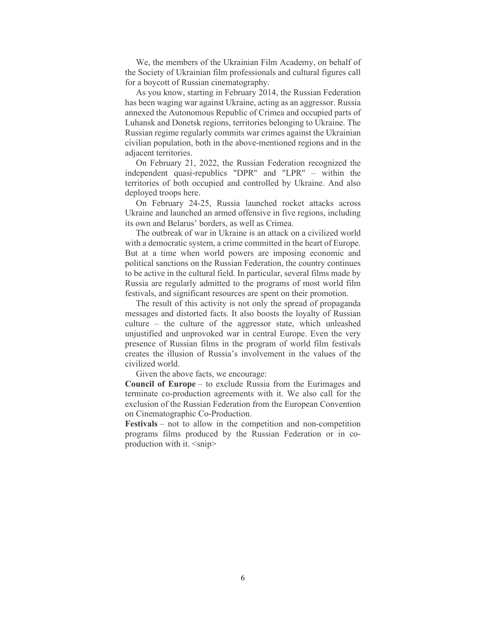We, the members of the Ukrainian Film Academy, on behalf of the Society of Ukrainian film professionals and cultural figures call for a boycott of Russian cinematography.

 As you know, starting in February 2014, the Russian Federation has been waging war against Ukraine, acting as an aggressor. Russia annexed the Autonomous Republic of Crimea and occupied parts of Luhansk and Donetsk regions, territories belonging to Ukraine. The Russian regime regularly commits war crimes against the Ukrainian civilian population, both in the above-mentioned regions and in the adjacent territories.

 On February 21, 2022, the Russian Federation recognized the independent quasi-republics "DPR" and "LPR" – within the territories of both occupied and controlled by Ukraine. And also deployed troops here.

 On February 24-25, Russia launched rocket attacks across Ukraine and launched an armed offensive in five regions, including its own and Belarus' borders, as well as Crimea.

 The outbreak of war in Ukraine is an attack on a civilized world with a democratic system, a crime committed in the heart of Europe. But at a time when world powers are imposing economic and political sanctions on the Russian Federation, the country continues to be active in the cultural field. In particular, several films made by Russia are regularly admitted to the programs of most world film festivals, and significant resources are spent on their promotion.

 The result of this activity is not only the spread of propaganda messages and distorted facts. It also boosts the loyalty of Russian culture – the culture of the aggressor state, which unleashed unjustified and unprovoked war in central Europe. Even the very presence of Russian films in the program of world film festivals creates the illusion of Russia's involvement in the values of the civilized world.

Given the above facts, we encourage:

**Council of Europe** – to exclude Russia from the Eurimages and terminate co-production agreements with it. We also call for the exclusion of the Russian Federation from the European Convention on Cinematographic Co-Production.

**Festivals** – not to allow in the competition and non-competition programs films produced by the Russian Federation or in coproduction with it.  $\langle \text{snip} \rangle$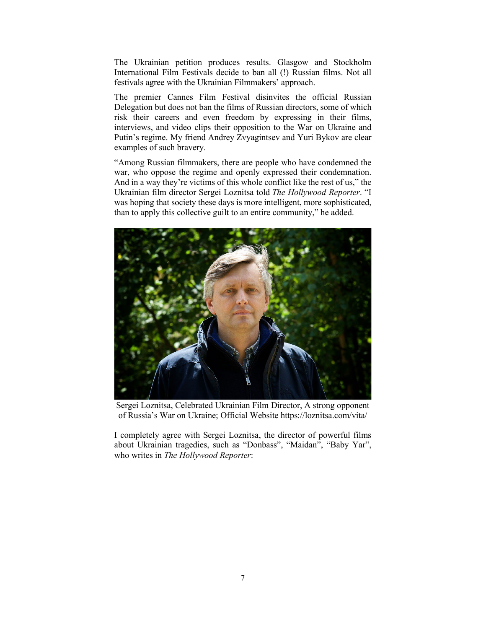The Ukrainian petition produces results. Glasgow and Stockholm International Film Festivals decide to ban all (!) Russian films. Not all festivals agree with the Ukrainian Filmmakers' approach.

The premier Cannes Film Festival disinvites the official Russian Delegation but does not ban the films of Russian directors, some of which risk their careers and even freedom by expressing in their films, interviews, and video clips their opposition to the War on Ukraine and Putin's regime. My friend Andrey Zvyagintsev and Yuri Bykov are clear examples of such bravery.

"Among Russian filmmakers, there are people who have condemned the war, who oppose the regime and openly expressed their condemnation. And in a way they're victims of this whole conflict like the rest of us," the Ukrainian film director Sergei Loznitsa told *The Hollywood Reporter*. "I was hoping that society these days is more intelligent, more sophisticated, than to apply this collective guilt to an entire community," he added.



Sergei Loznitsa, Celebrated Ukrainian Film Director, A strong opponent of Russia's War on Ukraine; Official Website https://loznitsa.com/vita/

I completely agree with Sergei Loznitsa, the director of powerful films about Ukrainian tragedies, such as "Donbass", "Maidan", "Baby Yar", who writes in *The Hollywood Reporter*: